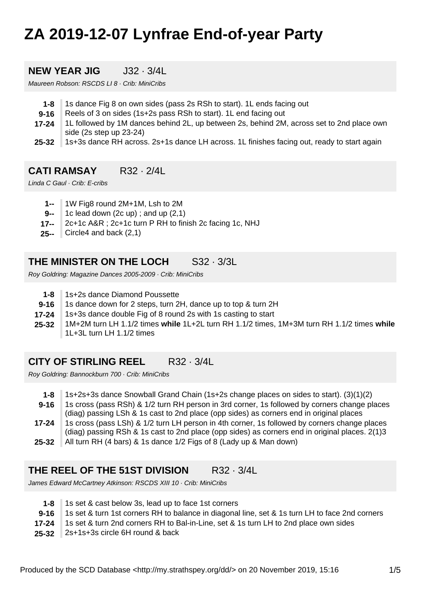# **ZA 2019-12-07 Lynfrae End-of-year Party**

#### **NEW YEAR JIG**  $132 \cdot 3/41$

Maureen Robson: RSCDS LI 8 · Crib: MiniCribs

- **1-8** 1s dance Fig 8 on own sides (pass 2s RSh to start). 1L ends facing out
- **9-16** Reels of 3 on sides (1s+2s pass RSh to start). 1L end facing out
- **17-24** 1L followed by 1M dances behind 2L, up between 2s, behind 2M, across set to 2nd place own side (2s step up 23-24)
- **25-32** 1s+3s dance RH across. 2s+1s dance LH across. 1L finishes facing out, ready to start again

## **CATI RAMSAY** R32 · 2/4L

Linda C Gaul · Crib: E-cribs

- **1--** 1W Fig8 round 2M+1M, Lsh to 2M
- **9--** 1c lead down (2c up) ; and up (2,1)
- **17--** 2c+1c A&R ; 2c+1c turn P RH to finish 2c facing 1c, NHJ
- **25--** Circle4 and back (2,1)

# **THE MINISTER ON THE LOCH** S32 · 3/3L

Roy Goldring: Magazine Dances 2005-2009 · Crib: MiniCribs

- **1-8** 1s+2s dance Diamond Poussette
- **9-16** 1s dance down for 2 steps, turn 2H, dance up to top & turn 2H
- **17-24** 1s+3s dance double Fig of 8 round 2s with 1s casting to start
- **25-32** 1M+2M turn LH 1.1/2 times **while** 1L+2L turn RH 1.1/2 times, 1M+3M turn RH 1.1/2 times **while** 1L+3L turn LH 1.1/2 times

## **CITY OF STIRLING REEL** R32 · 3/4L

Roy Goldring: Bannockburn 700 · Crib: MiniCribs

**1-8** 1s+2s+3s dance Snowball Grand Chain (1s+2s change places on sides to start). (3)(1)(2)

**9-16** 1s cross (pass RSh) & 1/2 turn RH person in 3rd corner, 1s followed by corners change places (diag) passing LSh & 1s cast to 2nd place (opp sides) as corners end in original places

- **17-24** 1s cross (pass LSh) & 1/2 turn LH person in 4th corner, 1s followed by corners change places (diag) passing RSh & 1s cast to 2nd place (opp sides) as corners end in original places. 2(1)3
- **25-32** All turn RH (4 bars) & 1s dance 1/2 Figs of 8 (Lady up & Man down)

## **THE REEL OF THE 51ST DIVISION** R32 · 3/4L

James Edward McCartney Atkinson: RSCDS XIII 10 · Crib: MiniCribs

- **1-8** 1s set & cast below 3s, lead up to face 1st corners
- **9-16** 1s set & turn 1st corners RH to balance in diagonal line, set & 1s turn LH to face 2nd corners
- **17-24** 1s set & turn 2nd corners RH to Bal-in-Line, set & 1s turn LH to 2nd place own sides
- **25-32** 2s+1s+3s circle 6H round & back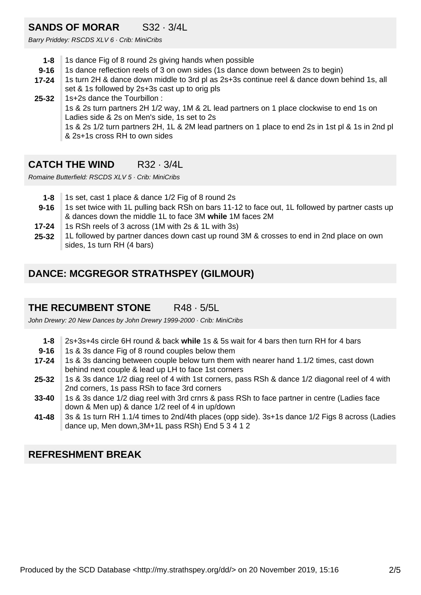# **SANDS OF MORAR** S32 · 3/4L

Barry Priddey: RSCDS XLV 6 · Crib: MiniCribs

- **1-8** 1s dance Fig of 8 round 2s giving hands when possible
- **9-16** 1s dance reflection reels of 3 on own sides (1s dance down between 2s to begin)
- **17-24** 1s turn 2H & dance down middle to 3rd pl as 2s+3s continue reel & dance down behind 1s, all set & 1s followed by 2s+3s cast up to orig pls
- **25-32** 1s+2s dance the Tourbillon : 1s & 2s turn partners 2H 1/2 way, 1M & 2L lead partners on 1 place clockwise to end 1s on Ladies side & 2s on Men's side, 1s set to 2s 1s & 2s 1/2 turn partners 2H, 1L & 2M lead partners on 1 place to end 2s in 1st pl & 1s in 2nd pl & 2s+1s cross RH to own sides

# **CATCH THE WIND** R32 · 3/4L

Romaine Butterfield: RSCDS XLV 5 · Crib: MiniCribs

- **1-8** 1s set, cast 1 place & dance 1/2 Fig of 8 round 2s
- **9-16** 1s set twice with 1L pulling back RSh on bars 11-12 to face out, 1L followed by partner casts up & dances down the middle 1L to face 3M **while** 1M faces 2M
- **17-24** 1s RSh reels of 3 across (1M with 2s & 1L with 3s)
- **25-32** 1L followed by partner dances down cast up round 3M & crosses to end in 2nd place on own sides, 1s turn RH (4 bars)

# **DANCE: MCGREGOR STRATHSPEY (GILMOUR)**

# **THE RECUMBENT STONE** R48 · 5/5L

John Drewry: 20 New Dances by John Drewry 1999-2000 · Crib: MiniCribs

- **1-8** 2s+3s+4s circle 6H round & back **while** 1s & 5s wait for 4 bars then turn RH for 4 bars
- **9-16** 1s & 3s dance Fig of 8 round couples below them
- **17-24** 1s & 3s dancing between couple below turn them with nearer hand 1.1/2 times, cast down behind next couple & lead up LH to face 1st corners
- **25-32** 1s & 3s dance 1/2 diag reel of 4 with 1st corners, pass RSh & dance 1/2 diagonal reel of 4 with 2nd corners, 1s pass RSh to face 3rd corners
- **33-40** 1s & 3s dance 1/2 diag reel with 3rd crnrs & pass RSh to face partner in centre (Ladies face down & Men up) & dance 1/2 reel of 4 in up/down
- **41-48** 3s & 1s turn RH 1.1/4 times to 2nd/4th places (opp side). 3s+1s dance 1/2 Figs 8 across (Ladies dance up, Men down,3M+1L pass RSh) End 5 3 4 1 2

## **REFRESHMENT BREAK**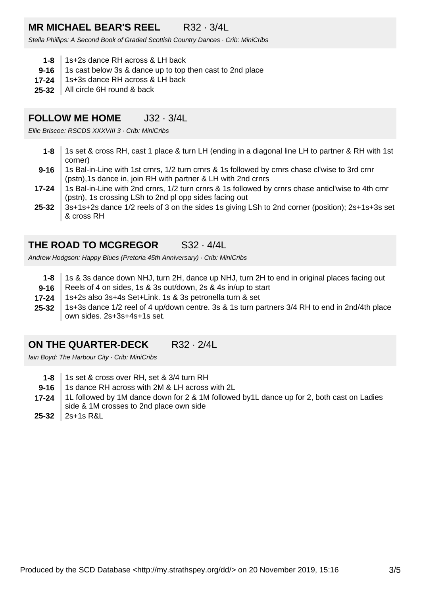# **MR MICHAEL BEAR'S REEL** R32 · 3/4L

Stella Phillips: A Second Book of Graded Scottish Country Dances · Crib: MiniCribs

- **1-8** 1s+2s dance RH across & LH back
- **9-16** 1s cast below 3s & dance up to top then cast to 2nd place
- **17-24** 1s+3s dance RH across & LH back
- **25-32** All circle 6H round & back

#### **FOLLOW ME HOME** J32 · 3/4L

Ellie Briscoe: RSCDS XXXVIII 3 · Crib: MiniCribs

- **1-8** 1s set & cross RH, cast 1 place & turn LH (ending in a diagonal line LH to partner & RH with 1st corner)
- **9-16** 1s Bal-in-Line with 1st crnrs, 1/2 turn crnrs & 1s followed by crnrs chase cl'wise to 3rd crnr (pstn),1s dance in, join RH with partner & LH with 2nd crnrs
- **17-24** 1s Bal-in-Line with 2nd crnrs, 1/2 turn crnrs & 1s followed by crnrs chase anticl'wise to 4th crnr (pstn), 1s crossing LSh to 2nd pl opp sides facing out
- **25-32** 3s+1s+2s dance 1/2 reels of 3 on the sides 1s giving LSh to 2nd corner (position); 2s+1s+3s set & cross RH

#### **THE ROAD TO MCGREGOR** S32 · 4/4L

Andrew Hodgson: Happy Blues (Pretoria 45th Anniversary) · Crib: MiniCribs

- **1-8** 1s & 3s dance down NHJ, turn 2H, dance up NHJ, turn 2H to end in original places facing out
- **9-16** Reels of 4 on sides, 1s & 3s out/down, 2s & 4s in/up to start
- **17-24** 1s+2s also 3s+4s Set+Link. 1s & 3s petronella turn & set
- **25-32** 1s+3s dance 1/2 reel of 4 up/down centre. 3s & 1s turn partners 3/4 RH to end in 2nd/4th place own sides. 2s+3s+4s+1s set.

#### **ON THE QUARTER-DECK** R32 · 2/4L

Iain Boyd: The Harbour City · Crib: MiniCribs

- **1-8** 1s set & cross over RH, set & 3/4 turn RH
- **9-16** 1s dance RH across with 2M & LH across with 2L
- **17-24** 1L followed by 1M dance down for 2 & 1M followed by1L dance up for 2, both cast on Ladies side & 1M crosses to 2nd place own side
- **25-32** 2s+1s R&L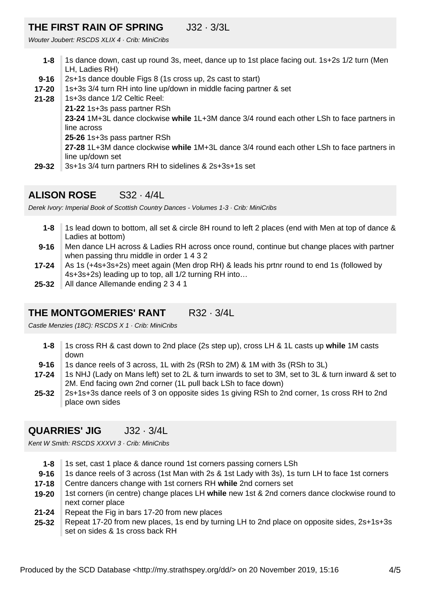#### **THE FIRST RAIN OF SPRING** J32 · 3/3L

Wouter Joubert: RSCDS XLIX 4 · Crib: MiniCribs

- **1-8** 1s dance down, cast up round 3s, meet, dance up to 1st place facing out. 1s+2s 1/2 turn (Men LH, Ladies RH)
- **9-16** 2s+1s dance double Figs 8 (1s cross up, 2s cast to start)
- **17-20** 1s+3s 3/4 turn RH into line up/down in middle facing partner & set
- **29-32 21-28** 1s+3s dance 1/2 Celtic Reel: **21-22** 1s+3s pass partner RSh **23-24** 1M+3L dance clockwise **while** 1L+3M dance 3/4 round each other LSh to face partners in line across **25-26** 1s+3s pass partner RSh **27-28** 1L+3M dance clockwise **while** 1M+3L dance 3/4 round each other LSh to face partners in line up/down set 3s+1s 3/4 turn partners RH to sidelines & 2s+3s+1s set

## **ALISON ROSE** S32 · 4/4L

Derek Ivory: Imperial Book of Scottish Country Dances - Volumes 1-3 · Crib: MiniCribs

- **1-8** 1s lead down to bottom, all set & circle 8H round to left 2 places (end with Men at top of dance & Ladies at bottom)
- **9-16** Men dance LH across & Ladies RH across once round, continue but change places with partner when passing thru middle in order 1 4 3 2
- **17-24** As 1s (+4s+3s+2s) meet again (Men drop RH) & leads his prtnr round to end 1s (followed by 4s+3s+2s) leading up to top, all 1/2 turning RH into…
- **25-32** All dance Allemande ending 2 3 4 1

# **THE MONTGOMERIES' RANT R32 · 3/4L**

Castle Menzies (18C): RSCDS X 1 · Crib: MiniCribs

- **1-8** 1s cross RH & cast down to 2nd place (2s step up), cross LH & 1L casts up **while** 1M casts down
- **9-16** 1s dance reels of 3 across, 1L with 2s (RSh to 2M) & 1M with 3s (RSh to 3L)
- **17-24** 1s NHJ (Lady on Mans left) set to 2L & turn inwards to set to 3M, set to 3L & turn inward & set to 2M. End facing own 2nd corner (1L pull back LSh to face down)
- **25-32** 2s+1s+3s dance reels of 3 on opposite sides 1s giving RSh to 2nd corner, 1s cross RH to 2nd place own sides

## **QUARRIES' JIG** J32 · 3/4L

Kent W Smith: RSCDS XXXVI 3 · Crib: MiniCribs

- **1-8** 1s set, cast 1 place & dance round 1st corners passing corners LSh
- **9-16** 1s dance reels of 3 across (1st Man with 2s & 1st Lady with 3s), 1s turn LH to face 1st corners
- **17-18** Centre dancers change with 1st corners RH **while** 2nd corners set
- **19-20** 1st corners (in centre) change places LH **while** new 1st & 2nd corners dance clockwise round to next corner place
- **21-24** Repeat the Fig in bars 17-20 from new places
- **25-32** Repeat 17-20 from new places, 1s end by turning LH to 2nd place on opposite sides, 2s+1s+3s set on sides & 1s cross back RH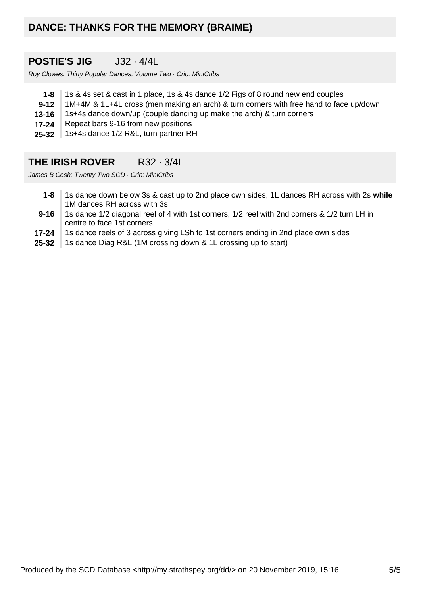# **DANCE: THANKS FOR THE MEMORY (BRAIME)**

# **POSTIE'S JIG** J32 · 4/4L

Roy Clowes: Thirty Popular Dances, Volume Two · Crib: MiniCribs

- **1-8** 1s & 4s set & cast in 1 place, 1s & 4s dance 1/2 Figs of 8 round new end couples
- **9-12** 1M+4M & 1L+4L cross (men making an arch) & turn corners with free hand to face up/down
- **13-16** 1s+4s dance down/up (couple dancing up make the arch) & turn corners
- **17-24** Repeat bars 9-16 from new positions
- **25-32** 1s+4s dance 1/2 R&L, turn partner RH

#### **THE IRISH ROVER** R32 · 3/4L

James B Cosh: Twenty Two SCD · Crib: MiniCribs

- **1-8** 1s dance down below 3s & cast up to 2nd place own sides, 1L dances RH across with 2s **while** 1M dances RH across with 3s
- **9-16** 1s dance 1/2 diagonal reel of 4 with 1st corners, 1/2 reel with 2nd corners & 1/2 turn LH in centre to face 1st corners
- **17-24** 1s dance reels of 3 across giving LSh to 1st corners ending in 2nd place own sides
- **25-32** 1s dance Diag R&L (1M crossing down & 1L crossing up to start)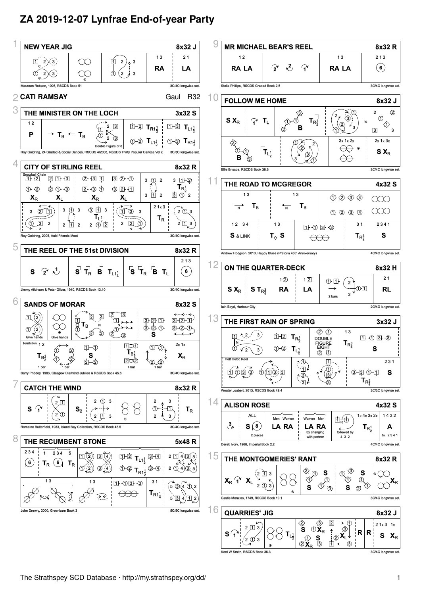# **ZA 2019-12-07 Lynfrae End-of-year Party**